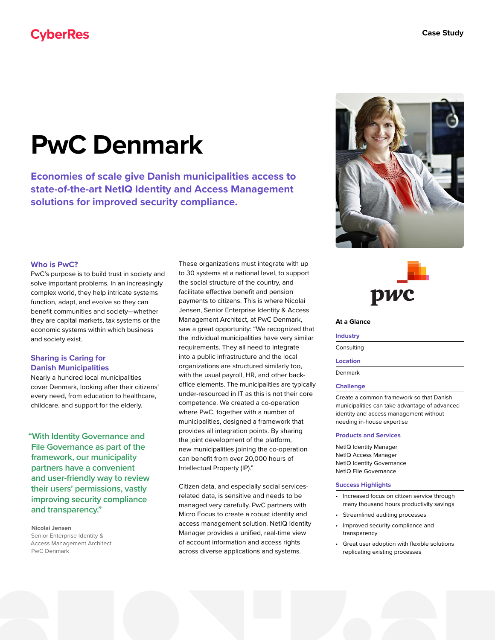# **CyberRes**

# **PwC Denmark**

**Economies of scale give Danish municipalities access to state-of-the-art NetIQ Identity and Access Management solutions for improved security compliance.**

#### **Who is PwC?**

PwC's purpose is to build trust in society and solve important problems. In an increasingly complex world, they help intricate systems function, adapt, and evolve so they can benefit communities and society—whether they are capital markets, tax systems or the economic systems within which business and society exist.

### **Sharing is Caring for Danish Municipalities**

Nearly a hundred local municipalities cover Denmark, looking after their citizens' every need, from education to healthcare, childcare, and support for the elderly.

**"With Identity Governance and File Governance as part of the framework, our municipality partners have a convenient and user-friendly way to review their users' permissions, vastly improving security compliance and transparency."**

**Nicolai Jensen** Senior Enterprise Identity & Access Management Architect PwC Denmark

These organizations must integrate with up to 30 systems at a national level, to support the social structure of the country, and facilitate effective benefit and pension payments to citizens. This is where Nicolai Jensen, Senior Enterprise Identity & Access Management Architect, at PwC Denmark, saw a great opportunity: "We recognized that the individual municipalities have very similar requirements. They all need to integrate into a public infrastructure and the local organizations are structured similarly too, with the usual payroll, HR, and other backoffice elements. The municipalities are typically under-resourced in IT as this is not their core competence. We created a co-operation where PwC, together with a number of municipalities, designed a framework that provides all integration points. By sharing the joint development of the platform, new municipalities joining the co-operation can benefit from over 20,000 hours of Intellectual Property (IP)."

Citizen data, and especially social servicesrelated data, is sensitive and needs to be managed very carefully. PwC partners with Micro Focus to create a robust identity and access management solution. NetIQ Identity Manager provides a unified, real-time view of account information and access rights across diverse applications and systems.





# **At a Glance**

#### **Industry**

Consulting

#### **Location**

Denmark

#### **Challenge**

Create a common framework so that Danish municipalities can take advantage of advanced identity and access management without needing in-house expertise

#### **Products and Services**

NetIQ Identity Manager NetIQ Access Manager NetIQ Identity Governance NetIQ File Governance

#### **Success Highlights**

- Increased focus on citizen service through many thousand hours productivity savings
- Streamlined auditing processes
- Improved security compliance and transparency
- Great user adoption with flexible solutions replicating existing processes